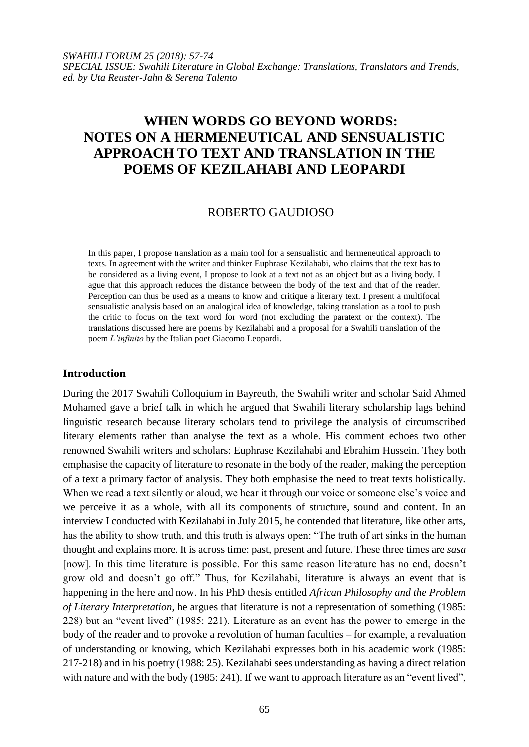# **WHEN WORDS GO BEYOND WORDS: NOTES ON A HERMENEUTICAL AND SENSUALISTIC APPROACH TO TEXT AND TRANSLATION IN THE POEMS OF KEZILAHABI AND LEOPARDI**

# ROBERTO GAUDIOSO

In this paper, I propose translation as a main tool for a sensualistic and hermeneutical approach to texts. In agreement with the writer and thinker Euphrase Kezilahabi, who claims that the text has to be considered as a living event, I propose to look at a text not as an object but as a living body. I ague that this approach reduces the distance between the body of the text and that of the reader. Perception can thus be used as a means to know and critique a literary text. I present a multifocal sensualistic analysis based on an analogical idea of knowledge, taking translation as a tool to push the critic to focus on the text word for word (not excluding the paratext or the context). The translations discussed here are poems by Kezilahabi and a proposal for a Swahili translation of the poem *L'infinito* by the Italian poet Giacomo Leopardi.

# **Introduction**

During the 2017 Swahili Colloquium in Bayreuth, the Swahili writer and scholar Said Ahmed Mohamed gave a brief talk in which he argued that Swahili literary scholarship lags behind linguistic research because literary scholars tend to privilege the analysis of circumscribed literary elements rather than analyse the text as a whole. His comment echoes two other renowned Swahili writers and scholars: Euphrase Kezilahabi and Ebrahim Hussein. They both emphasise the capacity of literature to resonate in the body of the reader, making the perception of a text a primary factor of analysis. They both emphasise the need to treat texts holistically. When we read a text silently or aloud, we hear it through our voice or someone else's voice and we perceive it as a whole, with all its components of structure, sound and content. In an interview I conducted with Kezilahabi in July 2015, he contended that literature, like other arts, has the ability to show truth, and this truth is always open: "The truth of art sinks in the human thought and explains more. It is across time: past, present and future. These three times are *sasa* [now]. In this time literature is possible. For this same reason literature has no end, doesn't grow old and doesn't go off." Thus, for Kezilahabi, literature is always an event that is happening in the here and now. In his PhD thesis entitled *African Philosophy and the Problem of Literary Interpretation*, he argues that literature is not a representation of something (1985: 228) but an "event lived" (1985: 221). Literature as an event has the power to emerge in the body of the reader and to provoke a revolution of human faculties – for example, a revaluation of understanding or knowing, which Kezilahabi expresses both in his academic work (1985: 217-218) and in his poetry (1988: 25). Kezilahabi sees understanding as having a direct relation with nature and with the body (1985: 241). If we want to approach literature as an "event lived",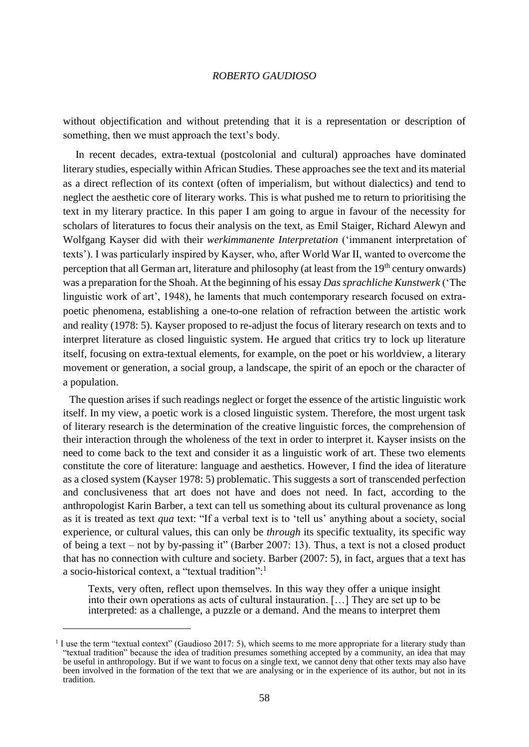without objectification and without pretending that it is a representation or description of something, then we must approach the text's body.

In recent decades, extra-textual (postcolonial and cultural) approaches have dominated literary studies, especially within African Studies. These approaches see the text and its material as a direct reflection of its context (often of imperialism, but without dialectics) and tend to neglect the aesthetic core of literary works. This is what pushed me to return to prioritising the text in my literary practice. In this paper I am going to argue in favour of the necessity for scholars of literatures to focus their analysis on the text, as Emil Staiger, Richard Alewyn and Wolfgang Kayser did with their *werkimmanente Interpretation* ('immanent interpretation of texts'). I was particularly inspired by Kayser, who, after World War II, wanted to overcome the perception that all German art, literature and philosophy (at least from the 19<sup>th</sup> century onwards) was a preparation for the Shoah. At the beginning of his essay *Das sprachliche Kunstwerk* ('The linguistic work of art', 1948), he laments that much contemporary research focused on extrapoetic phenomena, establishing a one-to-one relation of refraction between the artistic work and reality (1978: 5). Kayser proposed to re-adjust the focus of literary research on texts and to interpret literature as closed linguistic system. He argued that critics try to lock up literature itself, focusing on extra-textual elements, for example, on the poet or his worldview, a literary movement or generation, a social group, a landscape, the spirit of an epoch or the character of a population.

The question arises if such readings neglect or forget the essence of the artistic linguistic work itself. In my view, a poetic work is a closed linguistic system. Therefore, the most urgent task of literary research is the determination of the creative linguistic forces, the comprehension of their interaction through the wholeness of the text in order to interpret it. Kayser insists on the need to come back to the text and consider it as a linguistic work of art. These two elements constitute the core of literature: language and aesthetics. However, I find the idea of literature as a closed system (Kayser 1978: 5) problematic. This suggests a sort of transcended perfection and conclusiveness that art does not have and does not need. In fact, according to the anthropologist Karin Barber, a text can tell us something about its cultural provenance as long as it is treated as text *qua* text: "If a verbal text is to 'tell us' anything about a society, social experience, or cultural values, this can only be *through* its specific textuality, its specific way of being a text – not by by-passing it" (Barber 2007: 13). Thus, a text is not a closed product that has no connection with culture and society. Barber (2007: 5), in fact, argues that a text has a socio-historical context, a "textual tradition":<sup>1</sup>

Texts, very often, reflect upon themselves. In this way they offer a unique insight into their own operations as acts of cultural instauration. […] They are set up to be interpreted: as a challenge, a puzzle or a demand. And the means to interpret them

<sup>&</sup>lt;sup>1</sup> I use the term "textual context" (Gaudioso 2017: 5), which seems to me more appropriate for a literary study than "textual tradition" because the idea of tradition presumes something accepted by a community, an idea that may be useful in anthropology. But if we want to focus on a single text, we cannot deny that other texts may also have been involved in the formation of the text that we are analysing or in the experience of its author, but not in its tradition.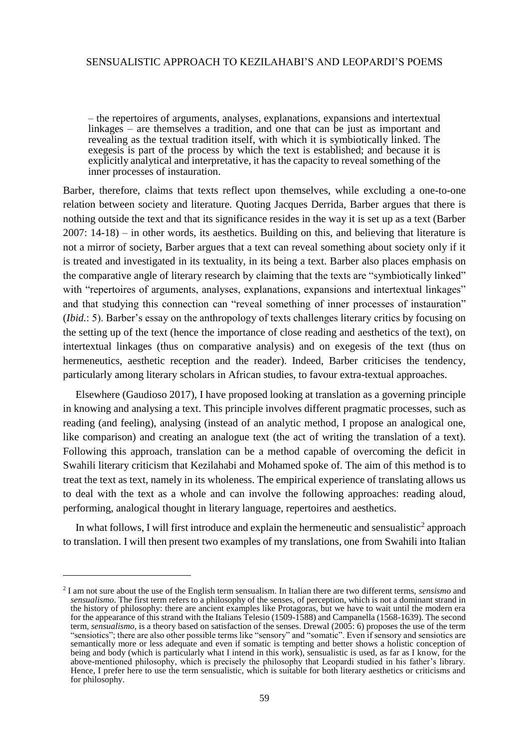– the repertoires of arguments, analyses, explanations, expansions and intertextual linkages – are themselves a tradition, and one that can be just as important and revealing as the textual tradition itself, with which it is symbiotically linked. The exegesis is part of the process by which the text is established; and because it is explicitly analytical and interpretative, it has the capacity to reveal something of the inner processes of instauration.

Barber, therefore, claims that texts reflect upon themselves, while excluding a one-to-one relation between society and literature. Quoting Jacques Derrida, Barber argues that there is nothing outside the text and that its significance resides in the way it is set up as a text (Barber 2007: 14-18) – in other words, its aesthetics. Building on this, and believing that literature is not a mirror of society, Barber argues that a text can reveal something about society only if it is treated and investigated in its textuality, in its being a text. Barber also places emphasis on the comparative angle of literary research by claiming that the texts are "symbiotically linked" with "repertoires of arguments, analyses, explanations, expansions and intertextual linkages" and that studying this connection can "reveal something of inner processes of instauration" (*Ibid.*: 5). Barber's essay on the anthropology of texts challenges literary critics by focusing on the setting up of the text (hence the importance of close reading and aesthetics of the text), on intertextual linkages (thus on comparative analysis) and on exegesis of the text (thus on hermeneutics, aesthetic reception and the reader). Indeed, Barber criticises the tendency, particularly among literary scholars in African studies, to favour extra-textual approaches.

Elsewhere (Gaudioso 2017), I have proposed looking at translation as a governing principle in knowing and analysing a text. This principle involves different pragmatic processes, such as reading (and feeling), analysing (instead of an analytic method, I propose an analogical one, like comparison) and creating an analogue text (the act of writing the translation of a text). Following this approach, translation can be a method capable of overcoming the deficit in Swahili literary criticism that Kezilahabi and Mohamed spoke of. The aim of this method is to treat the text as text, namely in its wholeness. The empirical experience of translating allows us to deal with the text as a whole and can involve the following approaches: reading aloud, performing, analogical thought in literary language, repertoires and aesthetics.

In what follows, I will first introduce and explain the hermeneutic and sensualistic<sup>2</sup> approach to translation. I will then present two examples of my translations, one from Swahili into Italian

<sup>2</sup> I am not sure about the use of the English term sensualism. In Italian there are two different terms, *sensismo* and *sensualismo*. The first term refers to a philosophy of the senses, of perception, which is not a dominant strand in the history of philosophy: there are ancient examples like Protagoras, but we have to wait until the modern era for the appearance of this strand with the Italians Telesio (1509-1588) and Campanella (1568-1639). The second term, *sensualismo*, is a theory based on satisfaction of the senses. Drewal (2005: 6) proposes the use of the term "sensiotics"; there are also other possible terms like "sensory" and "somatic". Even if sensory and sensiotics are semantically more or less adequate and even if somatic is tempting and better shows a holistic conception of being and body (which is particularly what I intend in this work), sensualistic is used, as far as I know, for the above-mentioned philosophy, which is precisely the philosophy that Leopardi studied in his father's library. Hence, I prefer here to use the term sensualistic, which is suitable for both literary aesthetics or criticisms and for philosophy.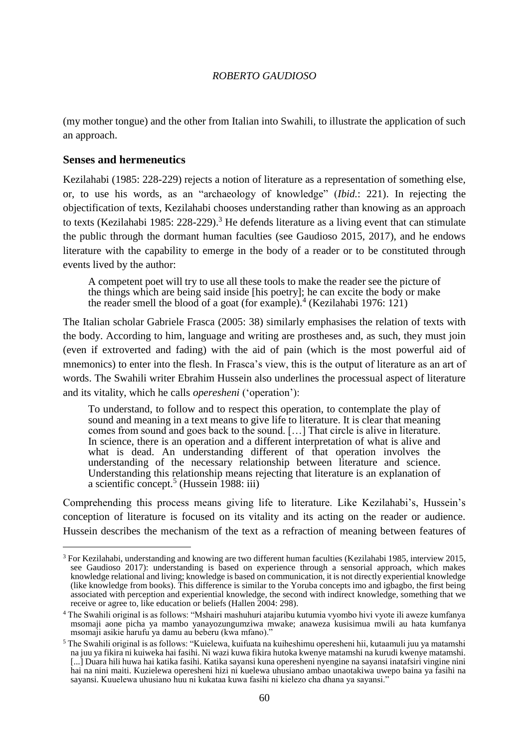(my mother tongue) and the other from Italian into Swahili, to illustrate the application of such an approach.

## **Senses and hermeneutics**

 $\overline{\phantom{a}}$ 

Kezilahabi (1985: 228-229) rejects a notion of literature as a representation of something else, or, to use his words, as an "archaeology of knowledge" (*Ibid.*: 221). In rejecting the objectification of texts, Kezilahabi chooses understanding rather than knowing as an approach to texts (Kezilahabi 1985: 228-229).<sup>3</sup> He defends literature as a living event that can stimulate the public through the dormant human faculties (see Gaudioso 2015, 2017), and he endows literature with the capability to emerge in the body of a reader or to be constituted through events lived by the author:

A competent poet will try to use all these tools to make the reader see the picture of the things which are being said inside [his poetry]; he can excite the body or make the reader smell the blood of a goat (for example).<sup>4</sup> (Kezilahabi 1976: 121)

The Italian scholar Gabriele Frasca (2005: 38) similarly emphasises the relation of texts with the body. According to him, language and writing are prostheses and, as such, they must join (even if extroverted and fading) with the aid of pain (which is the most powerful aid of mnemonics) to enter into the flesh. In Frasca's view, this is the output of literature as an art of words. The Swahili writer Ebrahim Hussein also underlines the processual aspect of literature and its vitality, which he calls *operesheni* ('operation'):

To understand, to follow and to respect this operation, to contemplate the play of sound and meaning in a text means to give life to literature. It is clear that meaning comes from sound and goes back to the sound. […] That circle is alive in literature. In science, there is an operation and a different interpretation of what is alive and what is dead. An understanding different of that operation involves the understanding of the necessary relationship between literature and science. Understanding this relationship means rejecting that literature is an explanation of a scientific concept.<sup>5</sup> (Hussein 1988: iii)

Comprehending this process means giving life to literature. Like Kezilahabi's, Hussein's conception of literature is focused on its vitality and its acting on the reader or audience. Hussein describes the mechanism of the text as a refraction of meaning between features of

<sup>&</sup>lt;sup>3</sup> For Kezilahabi, understanding and knowing are two different human faculties (Kezilahabi 1985, interview 2015, see Gaudioso 2017): understanding is based on experience through a sensorial approach, which makes knowledge relational and living; knowledge is based on communication, it is not directly experiential knowledge (like knowledge from books). This difference is similar to the Yoruba concepts imo and igbagbo, the first being associated with perception and experiential knowledge, the second with indirect knowledge, something that we receive or agree to, like education or beliefs (Hallen 2004: 298).

<sup>4</sup> The Swahili original is as follows: "Mshairi mashuhuri atajaribu kutumia vyombo hivi vyote ili aweze kumfanya msomaji aone picha ya mambo yanayozungumziwa mwake; anaweza kusisimua mwili au hata kumfanya msomaji asikie harufu ya damu au beberu (kwa mfano)."

<sup>5</sup> The Swahili original is as follows: "Kuielewa, kuifuata na kuiheshimu operesheni hii, kutaamuli juu ya matamshi na juu ya fikira ni kuiweka hai fasihi. Ni wazi kuwa fikira hutoka kwenye matamshi na kurudi kwenye matamshi. [...] Duara hili huwa hai katika fasihi. Katika sayansi kuna operesheni nyengine na sayansi inatafsiri vingine nini hai na nini maiti. Kuzielewa operesheni hizi ni kuelewa uhusiano ambao unaotakiwa uwepo baina ya fasihi na sayansi. Kuuelewa uhusiano huu ni kukataa kuwa fasihi ni kielezo cha dhana ya sayansi."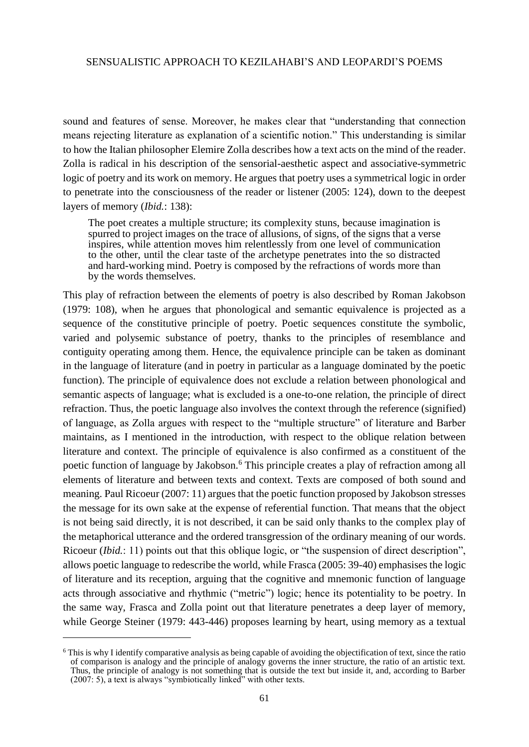sound and features of sense. Moreover, he makes clear that "understanding that connection means rejecting literature as explanation of a scientific notion." This understanding is similar to how the Italian philosopher Elemire Zolla describes how a text acts on the mind of the reader. Zolla is radical in his description of the sensorial-aesthetic aspect and associative-symmetric logic of poetry and its work on memory. He argues that poetry uses a symmetrical logic in order to penetrate into the consciousness of the reader or listener (2005: 124), down to the deepest layers of memory (*Ibid.*: 138):

The poet creates a multiple structure; its complexity stuns, because imagination is spurred to project images on the trace of allusions, of signs, of the signs that a verse inspires, while attention moves him relentlessly from one level of communication to the other, until the clear taste of the archetype penetrates into the so distracted and hard-working mind. Poetry is composed by the refractions of words more than by the words themselves.

This play of refraction between the elements of poetry is also described by Roman Jakobson (1979: 108), when he argues that phonological and semantic equivalence is projected as a sequence of the constitutive principle of poetry. Poetic sequences constitute the symbolic, varied and polysemic substance of poetry, thanks to the principles of resemblance and contiguity operating among them. Hence, the equivalence principle can be taken as dominant in the language of literature (and in poetry in particular as a language dominated by the poetic function). The principle of equivalence does not exclude a relation between phonological and semantic aspects of language; what is excluded is a one-to-one relation, the principle of direct refraction. Thus, the poetic language also involves the context through the reference (signified) of language, as Zolla argues with respect to the "multiple structure" of literature and Barber maintains, as I mentioned in the introduction, with respect to the oblique relation between literature and context. The principle of equivalence is also confirmed as a constituent of the poetic function of language by Jakobson.<sup>6</sup> This principle creates a play of refraction among all elements of literature and between texts and context. Texts are composed of both sound and meaning. Paul Ricoeur (2007: 11) argues that the poetic function proposed by Jakobson stresses the message for its own sake at the expense of referential function. That means that the object is not being said directly, it is not described, it can be said only thanks to the complex play of the metaphorical utterance and the ordered transgression of the ordinary meaning of our words. Ricoeur (*Ibid.*: 11) points out that this oblique logic, or "the suspension of direct description", allows poetic language to redescribe the world, while Frasca (2005: 39-40) emphasises the logic of literature and its reception, arguing that the cognitive and mnemonic function of language acts through associative and rhythmic ("metric") logic; hence its potentiality to be poetry. In the same way, Frasca and Zolla point out that literature penetrates a deep layer of memory, while George Steiner (1979: 443-446) proposes learning by heart, using memory as a textual

<sup>&</sup>lt;sup>6</sup> This is why I identify comparative analysis as being capable of avoiding the objectification of text, since the ratio of comparison is analogy and the principle of analogy governs the inner structure, the ratio of an artistic text. Thus, the principle of analogy is not something that is outside the text but inside it, and, according to Barber (2007: 5), a text is always "symbiotically linked" with other texts.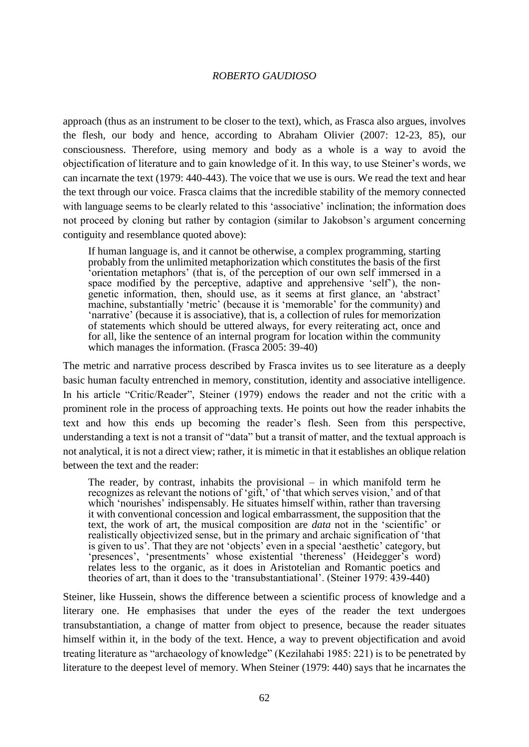approach (thus as an instrument to be closer to the text), which, as Frasca also argues, involves the flesh, our body and hence, according to Abraham Olivier (2007: 12-23, 85), our consciousness. Therefore, using memory and body as a whole is a way to avoid the objectification of literature and to gain knowledge of it. In this way, to use Steiner's words, we can incarnate the text (1979: 440-443). The voice that we use is ours. We read the text and hear the text through our voice. Frasca claims that the incredible stability of the memory connected with language seems to be clearly related to this 'associative' inclination; the information does not proceed by cloning but rather by contagion (similar to Jakobson's argument concerning contiguity and resemblance quoted above):

If human language is, and it cannot be otherwise, a complex programming, starting probably from the unlimited metaphorization which constitutes the basis of the first 'orientation metaphors' (that is, of the perception of our own self immersed in a space modified by the perceptive, adaptive and apprehensive 'self'), the nongenetic information, then, should use, as it seems at first glance, an 'abstract' machine, substantially 'metric' (because it is 'memorable' for the community) and 'narrative' (because it is associative), that is, a collection of rules for memorization of statements which should be uttered always, for every reiterating act, once and for all, like the sentence of an internal program for location within the community which manages the information. (Frasca 2005: 39-40)

The metric and narrative process described by Frasca invites us to see literature as a deeply basic human faculty entrenched in memory, constitution, identity and associative intelligence. In his article "Critic/Reader", Steiner (1979) endows the reader and not the critic with a prominent role in the process of approaching texts. He points out how the reader inhabits the text and how this ends up becoming the reader's flesh. Seen from this perspective, understanding a text is not a transit of "data" but a transit of matter, and the textual approach is not analytical, it is not a direct view; rather, it is mimetic in that it establishes an oblique relation between the text and the reader:

The reader, by contrast, inhabits the provisional – in which manifold term he recognizes as relevant the notions of 'gift,' of 'that which serves vision,' and of that which 'nourishes' indispensably. He situates himself within, rather than traversing it with conventional concession and logical embarrassment, the supposition that the text, the work of art, the musical composition are *data* not in the 'scientific' or realistically objectivized sense, but in the primary and archaic signification of 'that is given to us'. That they are not 'objects' even in a special 'aesthetic' category, but 'presences', 'presentments' whose existential 'thereness' (Heidegger's word) relates less to the organic, as it does in Aristotelian and Romantic poetics and theories of art, than it does to the 'transubstantiational'. (Steiner 1979: 439-440)

Steiner, like Hussein, shows the difference between a scientific process of knowledge and a literary one. He emphasises that under the eyes of the reader the text undergoes transubstantiation, a change of matter from object to presence, because the reader situates himself within it, in the body of the text. Hence, a way to prevent objectification and avoid treating literature as "archaeology of knowledge" (Kezilahabi 1985: 221) is to be penetrated by literature to the deepest level of memory. When Steiner (1979: 440) says that he incarnates the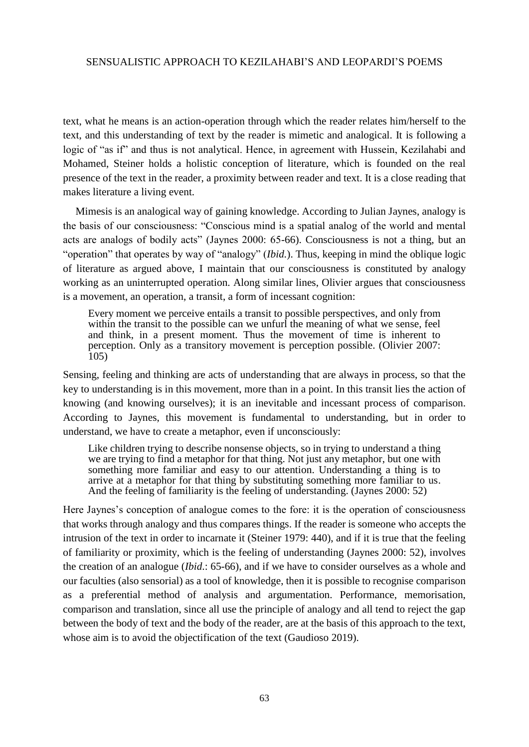text, what he means is an action-operation through which the reader relates him/herself to the text, and this understanding of text by the reader is mimetic and analogical. It is following a logic of "as if" and thus is not analytical. Hence, in agreement with Hussein, Kezilahabi and Mohamed, Steiner holds a holistic conception of literature, which is founded on the real presence of the text in the reader, a proximity between reader and text. It is a close reading that makes literature a living event.

Mimesis is an analogical way of gaining knowledge. According to Julian Jaynes, analogy is the basis of our consciousness: "Conscious mind is a spatial analog of the world and mental acts are analogs of bodily acts" (Jaynes 2000: 65-66). Consciousness is not a thing, but an "operation" that operates by way of "analogy" (*Ibid.*). Thus, keeping in mind the oblique logic of literature as argued above, I maintain that our consciousness is constituted by analogy working as an uninterrupted operation. Along similar lines, Olivier argues that consciousness is a movement, an operation, a transit, a form of incessant cognition:

Every moment we perceive entails a transit to possible perspectives, and only from within the transit to the possible can we unfurl the meaning of what we sense, feel and think, in a present moment. Thus the movement of time is inherent to perception. Only as a transitory movement is perception possible. (Olivier 2007: 105)

Sensing, feeling and thinking are acts of understanding that are always in process, so that the key to understanding is in this movement, more than in a point. In this transit lies the action of knowing (and knowing ourselves); it is an inevitable and incessant process of comparison. According to Jaynes, this movement is fundamental to understanding, but in order to understand, we have to create a metaphor, even if unconsciously:

Like children trying to describe nonsense objects, so in trying to understand a thing we are trying to find a metaphor for that thing. Not just any metaphor, but one with something more familiar and easy to our attention. Understanding a thing is to arrive at a metaphor for that thing by substituting something more familiar to us. And the feeling of familiarity is the feeling of understanding. (Jaynes 2000: 52)

Here Jaynes's conception of analogue comes to the fore: it is the operation of consciousness that works through analogy and thus compares things. If the reader is someone who accepts the intrusion of the text in order to incarnate it (Steiner 1979: 440), and if it is true that the feeling of familiarity or proximity, which is the feeling of understanding (Jaynes 2000: 52), involves the creation of an analogue (*Ibid*.: 65-66), and if we have to consider ourselves as a whole and our faculties (also sensorial) as a tool of knowledge, then it is possible to recognise comparison as a preferential method of analysis and argumentation. Performance, memorisation, comparison and translation, since all use the principle of analogy and all tend to reject the gap between the body of text and the body of the reader, are at the basis of this approach to the text, whose aim is to avoid the objectification of the text (Gaudioso 2019).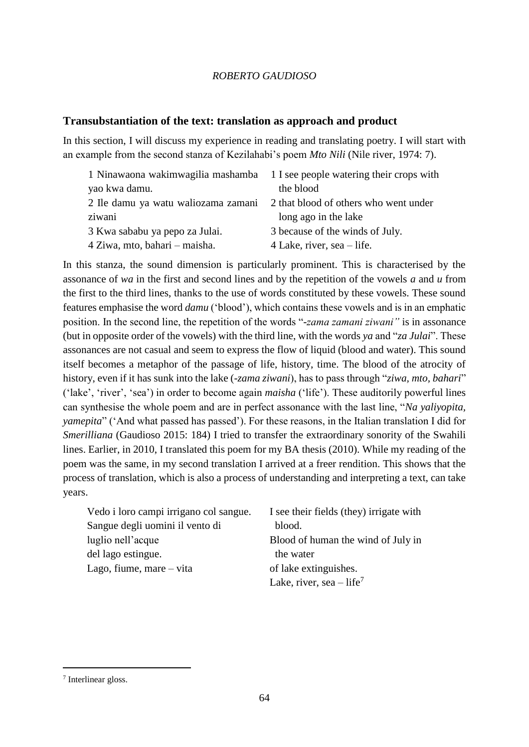## **Transubstantiation of the text: translation as approach and product**

In this section, I will discuss my experience in reading and translating poetry. I will start with an example from the second stanza of Kezilahabi's poem *Mto Nili* (Nile river, 1974: 7).

| 1 Ninawaona wakimwagilia mashamba 1 I see people watering their crops with |                                       |
|----------------------------------------------------------------------------|---------------------------------------|
| yao kwa damu.                                                              | the blood                             |
| 2 Ile damu ya watu waliozama zamani                                        | 2 that blood of others who went under |
| ziwani                                                                     | long ago in the lake                  |
| 3 Kwa sababu ya pepo za Julai.                                             | 3 because of the winds of July.       |
| 4 Ziwa, mto, bahari – maisha.                                              | 4 Lake, river, sea – life.            |

In this stanza, the sound dimension is particularly prominent. This is characterised by the assonance of *wa* in the first and second lines and by the repetition of the vowels *a* and *u* from the first to the third lines, thanks to the use of words constituted by these vowels. These sound features emphasise the word *damu* ('blood'), which contains these vowels and is in an emphatic position. In the second line, the repetition of the words "*-zama zamani ziwani"* is in assonance (but in opposite order of the vowels) with the third line, with the words *ya* and "*za Julai*". These assonances are not casual and seem to express the flow of liquid (blood and water). This sound itself becomes a metaphor of the passage of life, history, time. The blood of the atrocity of history, even if it has sunk into the lake (-*zama ziwani*), has to pass through "*ziwa, mto, bahari*" ('lake', 'river', 'sea') in order to become again *maisha* ('life'). These auditorily powerful lines can synthesise the whole poem and are in perfect assonance with the last line, "*Na yaliyopita, yamepita*" ('And what passed has passed'). For these reasons, in the Italian translation I did for *Smerilliana* (Gaudioso 2015: 184) I tried to transfer the extraordinary sonority of the Swahili lines. Earlier, in 2010, I translated this poem for my BA thesis (2010). While my reading of the poem was the same, in my second translation I arrived at a freer rendition. This shows that the process of translation, which is also a process of understanding and interpreting a text, can take years.

| Vedo i loro campi irrigano col sangue. | I see their fields (they) irrigate with |
|----------------------------------------|-----------------------------------------|
| Sangue degli uomini il vento di        | blood.                                  |
| luglio nell'acque                      | Blood of human the wind of July in      |
| del lago estingue.                     | the water                               |
| Lago, fiume, mare – vita               | of lake extinguishes.                   |
|                                        | Lake, river, sea $-$ life <sup>7</sup>  |

<sup>7</sup> Interlinear gloss.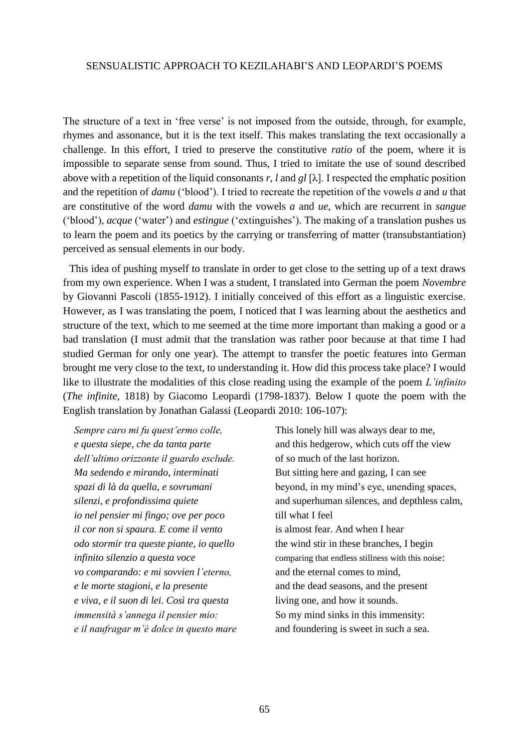The structure of a text in 'free verse' is not imposed from the outside, through, for example, rhymes and assonance, but it is the text itself. This makes translating the text occasionally a challenge. In this effort, I tried to preserve the constitutive *ratio* of the poem, where it is impossible to separate sense from sound. Thus, I tried to imitate the use of sound described above with a repetition of the liquid consonants r, *l* and  $gl$  [ $\lambda$ ]. I respected the emphatic position and the repetition of *damu* ('blood'). I tried to recreate the repetition of the vowels *a* and *u* that are constitutive of the word *damu* with the vowels *a* and *ue,* which are recurrent in *sangue*  ('blood'), *acque* ('water') and *estingue* ('extinguishes'). The making of a translation pushes us to learn the poem and its poetics by the carrying or transferring of matter (transubstantiation) perceived as sensual elements in our body.

This idea of pushing myself to translate in order to get close to the setting up of a text draws from my own experience. When I was a student, I translated into German the poem *Novembre* by Giovanni Pascoli (1855-1912). I initially conceived of this effort as a linguistic exercise. However, as I was translating the poem, I noticed that I was learning about the aesthetics and structure of the text, which to me seemed at the time more important than making a good or a bad translation (I must admit that the translation was rather poor because at that time I had studied German for only one year). The attempt to transfer the poetic features into German brought me very close to the text, to understanding it. How did this process take place? I would like to illustrate the modalities of this close reading using the example of the poem *L'infinito*  (*The infinite*, 1818) by Giacomo Leopardi (1798-1837). Below I quote the poem with the English translation by Jonathan Galassi (Leopardi 2010: 106-107):

*Sempre caro mi fu quest'ermo colle, e questa siepe, che da tanta parte dell'ultimo orizzonte il guardo esclude. Ma sedendo e mirando, interminati spazi di là da quella, e sovrumani silenzi, e profondissima quiete io nel pensier mi fingo; ove per poco il cor non si spaura. E come il vento odo stormir tra queste piante, io quello infinito silenzio a questa voce vo comparando: e mi sovvien l'eterno, e le morte stagioni, e la presente e viva, e il suon di lei. Così tra questa immensità s'annega il pensier mio: e il naufragar m'è dolce in questo mare* This lonely hill was always dear to me, and this hedgerow, which cuts off the view of so much of the last horizon. But sitting here and gazing, I can see beyond, in my mind's eye, unending spaces, and superhuman silences, and depthless calm, till what I feel is almost fear. And when I hear the wind stir in these branches, I begin comparing that endless stillness with this noise: and the eternal comes to mind, and the dead seasons, and the present living one, and how it sounds. So my mind sinks in this immensity: and foundering is sweet in such a sea.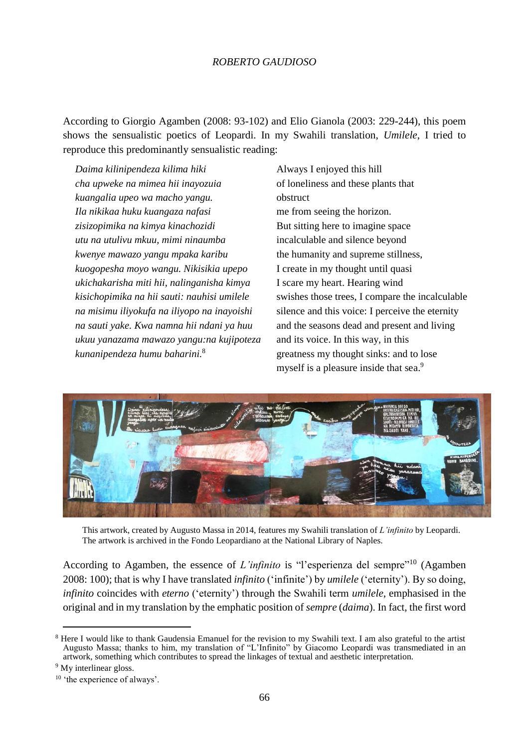According to Giorgio Agamben (2008: 93-102) and Elio Gianola (2003: 229-244), this poem shows the sensualistic poetics of Leopardi. In my Swahili translation, *Umilele*, I tried to reproduce this predominantly sensualistic reading:

*Daima kilinipendeza kilima hiki cha upweke na mimea hii inayozuia kuangalia upeo wa macho yangu. Ila nikikaa huku kuangaza nafasi zisizopimika na kimya kinachozidi utu na utulivu mkuu, mimi ninaumba kwenye mawazo yangu mpaka karibu kuogopesha moyo wangu. Nikisikia upepo ukichakarisha miti hii, nalinganisha kimya kisichopimika na hii sauti: nauhisi umilele na misimu iliyokufa na iliyopo na inayoishi na sauti yake. Kwa namna hii ndani ya huu ukuu yanazama mawazo yangu:na kujipoteza kunanipendeza humu baharini.*<sup>8</sup>

Always I enjoyed this hill of loneliness and these plants that obstruct me from seeing the horizon. But sitting here to imagine space incalculable and silence beyond the humanity and supreme stillness, I create in my thought until quasi I scare my heart. Hearing wind swishes those trees, I compare the incalculable silence and this voice: I perceive the eternity and the seasons dead and present and living and its voice. In this way, in this greatness my thought sinks: and to lose myself is a pleasure inside that sea.<sup>9</sup>



This artwork, created by Augusto Massa in 2014, features my Swahili translation of *L'infinito* by Leopardi. The artwork is archived in the Fondo Leopardiano at the National Library of Naples.

According to Agamben, the essence of *L'infinito* is "l'esperienza del sempre"<sup>10</sup> (Agamben 2008: 100); that is why I have translated *infinito* ('infinite') by *umilele* ('eternity'). By so doing, *infinito* coincides with *eterno* ('eternity') through the Swahili term *umilele*, emphasised in the original and in my translation by the emphatic position of *sempre* (*daima*). In fact, the first word

<sup>9</sup> My interlinear gloss.

<sup>&</sup>lt;sup>8</sup> Here I would like to thank Gaudensia Emanuel for the revision to my Swahili text. I am also grateful to the artist Augusto Massa; thanks to him, my translation of "L'Infinito" by Giacomo Leopardi was transmediated in an artwork, something which contributes to spread the linkages of textual and aesthetic interpretation.

<sup>&</sup>lt;sup>10</sup> 'the experience of always'.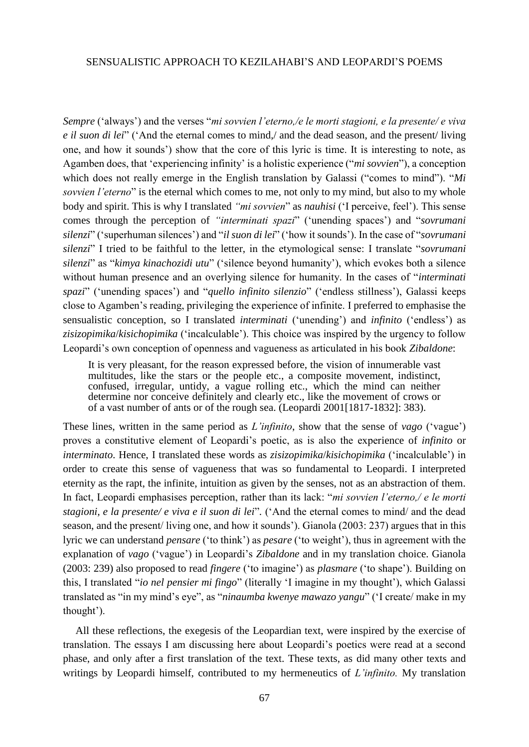*Sempre* ('always') and the verses "*mi sovvien l'eterno,/e le morti stagioni, e la presente/ e viva e il suon di lei*" ('And the eternal comes to mind,/ and the dead season, and the present/ living one, and how it sounds') show that the core of this lyric is time. It is interesting to note, as Agamben does, that 'experiencing infinity' is a holistic experience ("*mi sovvien*"), a conception which does not really emerge in the English translation by Galassi ("comes to mind"). "*Mi sovvien l'eterno*" is the eternal which comes to me, not only to my mind, but also to my whole body and spirit. This is why I translated *"mi sovvien*" as *nauhisi* ('I perceive, feel'). This sense comes through the perception of *"interminati spazi*" ('unending spaces') and "*sovrumani silenzi*" ('superhuman silences') and "*il suon di lei*" ('how it sounds'). In the case of "*sovrumani silenzi*" I tried to be faithful to the letter, in the etymological sense: I translate "*sovrumani silenzi*" as "*kimya kinachozidi utu*" ('silence beyond humanity'), which evokes both a silence without human presence and an overlying silence for humanity. In the cases of "*interminati spazi*" ('unending spaces') and "*quello infinito silenzio*" ('endless stillness'), Galassi keeps close to Agamben's reading, privileging the experience of infinite. I preferred to emphasise the sensualistic conception, so I translated *interminati* ('unending') and *infinito* ('endless') as *zisizopimika*/*kisichopimika* ('incalculable'). This choice was inspired by the urgency to follow Leopardi's own conception of openness and vagueness as articulated in his book *Zibaldone*:

It is very pleasant, for the reason expressed before, the vision of innumerable vast multitudes, like the stars or the people etc., a composite movement, indistinct, confused, irregular, untidy, a vague rolling etc., which the mind can neither determine nor conceive definitely and clearly etc., like the movement of crows or of a vast number of ants or of the rough sea. (Leopardi 2001[1817-1832]: 383).

These lines, written in the same period as *L'infinito*, show that the sense of *vago* ('vague') proves a constitutive element of Leopardi's poetic, as is also the experience of *infinito* or *interminato*. Hence, I translated these words as *zisizopimika*/*kisichopimika* ('incalculable') in order to create this sense of vagueness that was so fundamental to Leopardi. I interpreted eternity as the rapt, the infinite, intuition as given by the senses, not as an abstraction of them. In fact, Leopardi emphasises perception, rather than its lack: "*mi sovvien l'eterno,/ e le morti stagioni, e la presente/ e viva e il suon di lei*"*.* ('And the eternal comes to mind/ and the dead season, and the present/ living one, and how it sounds'). Gianola (2003: 237) argues that in this lyric we can understand *pensare* ('to think') as *pesare* ('to weight'), thus in agreement with the explanation of *vago* ('vague') in Leopardi's *Zibaldone* and in my translation choice. Gianola (2003: 239) also proposed to read *fingere* ('to imagine') as *plasmare* ('to shape'). Building on this, I translated "*io nel pensier mi fingo*" (literally 'I imagine in my thought'), which Galassi translated as "in my mind's eye", as "*ninaumba kwenye mawazo yangu*" ('I create/ make in my thought').

All these reflections, the exegesis of the Leopardian text, were inspired by the exercise of translation. The essays I am discussing here about Leopardi's poetics were read at a second phase, and only after a first translation of the text. These texts, as did many other texts and writings by Leopardi himself, contributed to my hermeneutics of *L'infinito.* My translation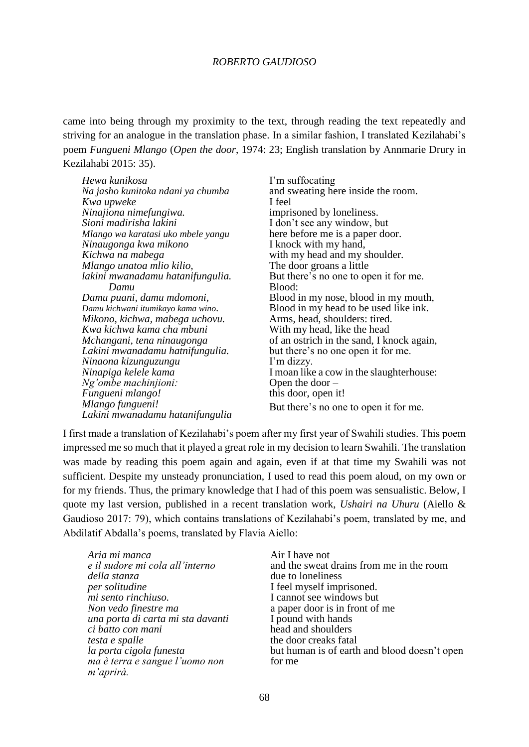came into being through my proximity to the text, through reading the text repeatedly and striving for an analogue in the translation phase. In a similar fashion, I translated Kezilahabi's poem *Fungueni Mlango* (*Open the door*, 1974: 23; English translation by Annmarie Drury in Kezilahabi 2015: 35).

| Hewa kunikosa                      | I'm suffocating                           |
|------------------------------------|-------------------------------------------|
| Na jasho kunitoka ndani ya chumba  | and sweating here inside the room.        |
| Kwa upweke                         | I feel                                    |
| Ninajiona nimefungiwa.             | imprisoned by loneliness.                 |
| Sioni madirisha lakini             | I don't see any window, but               |
| Mlango wa karatasi uko mbele yangu | here before me is a paper door.           |
| Ninaugonga kwa mikono              | I knock with my hand,                     |
| Kichwa na mabega                   | with my head and my shoulder.             |
| Mlango unatoa mlio kilio,          | The door groans a little                  |
| lakini mwanadamu hatanifungulia.   | But there's no one to open it for me.     |
| Damu                               | Blood:                                    |
| Damu puani, damu mdomoni,          | Blood in my nose, blood in my mouth,      |
| Damu kichwani itumikayo kama wino. | Blood in my head to be used like ink.     |
| Mikono, kichwa, mabega uchovu.     | Arms, head, shoulders: tired.             |
| Kwa kichwa kama cha mbuni          | With my head, like the head               |
| Mchangani, tena ninaugonga         | of an ostrich in the sand, I knock again, |
| Lakini mwanadamu hatnifungulia.    | but there's no one open it for me.        |
| Ninaona kizunguzungu               | I'm dizzy.                                |
| Ninapiga kelele kama               | I moan like a cow in the slaughterhouse:  |
| Ng'ombe machinjioni:               | Open the door $-$                         |
| Fungueni mlango!                   | this door, open it!                       |
| Mlango fungueni!                   | But there's no one to open it for me.     |
| Lakini mwanadamu hatanifungulia    |                                           |

I first made a translation of Kezilahabi's poem after my first year of Swahili studies. This poem impressed me so much that it played a great role in my decision to learn Swahili. The translation was made by reading this poem again and again, even if at that time my Swahili was not sufficient. Despite my unsteady pronunciation, I used to read this poem aloud, on my own or for my friends. Thus, the primary knowledge that I had of this poem was sensualistic. Below, I quote my last version, published in a recent translation work, *Ushairi na Uhuru* (Aiello & Gaudioso 2017: 79), which contains translations of Kezilahabi's poem, translated by me, and Abdilatif Abdalla's poems, translated by Flavia Aiello:

*Aria mi manca e il sudore mi cola all'interno della stanza per solitudine mi sento rinchiuso. Non vedo finestre ma una porta di carta mi sta davanti ci batto con mani testa e spalle la porta cigola funesta ma è terra e sangue l'uomo non m'aprirà.*

Air I have not and the sweat drains from me in the room due to loneliness I feel myself imprisoned. I cannot see windows but a paper door is in front of me I pound with hands head and shoulders the door creaks fatal but human is of earth and blood doesn't open for me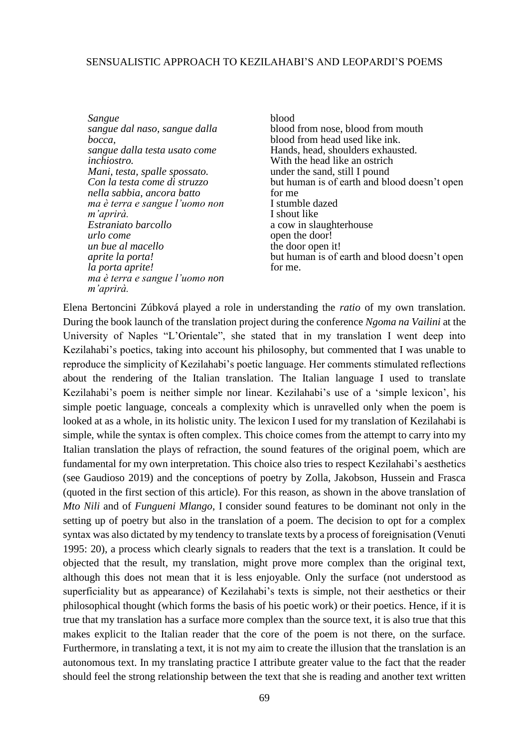*Sangue sangue dal naso, sangue dalla bocca, sangue dalla testa usato come inchiostro. Mani, testa, spalle spossato. Con la testa come di struzzo nella sabbia, ancora batto ma è terra e sangue l'uomo non m'aprirà. Estraniato barcollo urlo come un bue al macello aprite la porta! la porta aprite! ma è terra e sangue l'uomo non m'aprirà.*

blood blood from nose, blood from mouth blood from head used like ink. Hands, head, shoulders exhausted. With the head like an ostrich under the sand, still I pound but human is of earth and blood doesn't open for me I stumble dazed I shout like a cow in slaughterhouse open the door! the door open it! but human is of earth and blood doesn't open for me.

Elena Bertoncini Zúbková played a role in understanding the *ratio* of my own translation. During the book launch of the translation project during the conference *Ngoma na Vailini* at the University of Naples "L'Orientale", she stated that in my translation I went deep into Kezilahabi's poetics, taking into account his philosophy, but commented that I was unable to reproduce the simplicity of Kezilahabi's poetic language. Her comments stimulated reflections about the rendering of the Italian translation. The Italian language I used to translate Kezilahabi's poem is neither simple nor linear. Kezilahabi's use of a 'simple lexicon', his simple poetic language, conceals a complexity which is unravelled only when the poem is looked at as a whole, in its holistic unity. The lexicon I used for my translation of Kezilahabi is simple, while the syntax is often complex. This choice comes from the attempt to carry into my Italian translation the plays of refraction, the sound features of the original poem, which are fundamental for my own interpretation. This choice also tries to respect Kezilahabi's aesthetics (see Gaudioso 2019) and the conceptions of poetry by Zolla, Jakobson, Hussein and Frasca (quoted in the first section of this article). For this reason, as shown in the above translation of *Mto Nili* and of *Fungueni Mlango*, I consider sound features to be dominant not only in the setting up of poetry but also in the translation of a poem. The decision to opt for a complex syntax was also dictated by my tendency to translate texts by a process of foreignisation (Venuti 1995: 20), a process which clearly signals to readers that the text is a translation. It could be objected that the result, my translation, might prove more complex than the original text, although this does not mean that it is less enjoyable. Only the surface (not understood as superficiality but as appearance) of Kezilahabi's texts is simple, not their aesthetics or their philosophical thought (which forms the basis of his poetic work) or their poetics. Hence, if it is true that my translation has a surface more complex than the source text, it is also true that this makes explicit to the Italian reader that the core of the poem is not there, on the surface. Furthermore, in translating a text, it is not my aim to create the illusion that the translation is an autonomous text. In my translating practice I attribute greater value to the fact that the reader should feel the strong relationship between the text that she is reading and another text written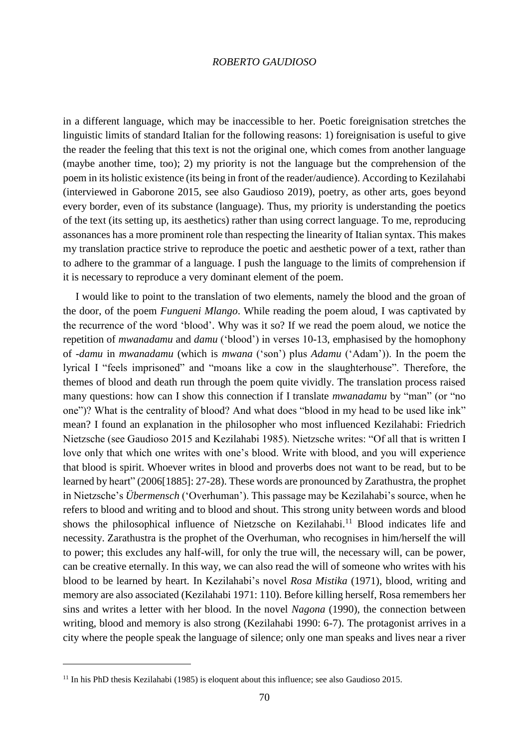in a different language, which may be inaccessible to her. Poetic foreignisation stretches the linguistic limits of standard Italian for the following reasons: 1) foreignisation is useful to give the reader the feeling that this text is not the original one, which comes from another language (maybe another time, too); 2) my priority is not the language but the comprehension of the poem in its holistic existence (its being in front of the reader/audience). According to Kezilahabi (interviewed in Gaborone 2015, see also Gaudioso 2019), poetry, as other arts, goes beyond every border, even of its substance (language). Thus, my priority is understanding the poetics of the text (its setting up, its aesthetics) rather than using correct language. To me, reproducing assonances has a more prominent role than respecting the linearity of Italian syntax. This makes my translation practice strive to reproduce the poetic and aesthetic power of a text, rather than to adhere to the grammar of a language. I push the language to the limits of comprehension if it is necessary to reproduce a very dominant element of the poem.

I would like to point to the translation of two elements, namely the blood and the groan of the door, of the poem *Fungueni Mlango*. While reading the poem aloud, I was captivated by the recurrence of the word 'blood'. Why was it so? If we read the poem aloud, we notice the repetition of *mwanadamu* and *damu* ('blood') in verses 10-13, emphasised by the homophony of -*damu* in *mwanadamu* (which is *mwana* ('son') plus *Adamu* ('Adam')). In the poem the lyrical I "feels imprisoned" and "moans like a cow in the slaughterhouse". Therefore, the themes of blood and death run through the poem quite vividly. The translation process raised many questions: how can I show this connection if I translate *mwanadamu* by "man" (or "no one")? What is the centrality of blood? And what does "blood in my head to be used like ink" mean? I found an explanation in the philosopher who most influenced Kezilahabi: Friedrich Nietzsche (see Gaudioso 2015 and Kezilahabi 1985). Nietzsche writes: "Of all that is written I love only that which one writes with one's blood. Write with blood, and you will experience that blood is spirit. Whoever writes in blood and proverbs does not want to be read, but to be learned by heart" (2006[1885]: 27-28). These words are pronounced by Zarathustra, the prophet in Nietzsche's *Übermensch* ('Overhuman'). This passage may be Kezilahabi's source, when he refers to blood and writing and to blood and shout. This strong unity between words and blood shows the philosophical influence of Nietzsche on Kezilahabi.<sup>11</sup> Blood indicates life and necessity. Zarathustra is the prophet of the Overhuman, who recognises in him/herself the will to power; this excludes any half-will, for only the true will, the necessary will, can be power, can be creative eternally. In this way, we can also read the will of someone who writes with his blood to be learned by heart. In Kezilahabi's novel *Rosa Mistika* (1971), blood, writing and memory are also associated (Kezilahabi 1971: 110). Before killing herself, Rosa remembers her sins and writes a letter with her blood. In the novel *Nagona* (1990), the connection between writing, blood and memory is also strong (Kezilahabi 1990: 6-7). The protagonist arrives in a city where the people speak the language of silence; only one man speaks and lives near a river

<sup>&</sup>lt;sup>11</sup> In his PhD thesis Kezilahabi (1985) is eloquent about this influence; see also Gaudioso 2015.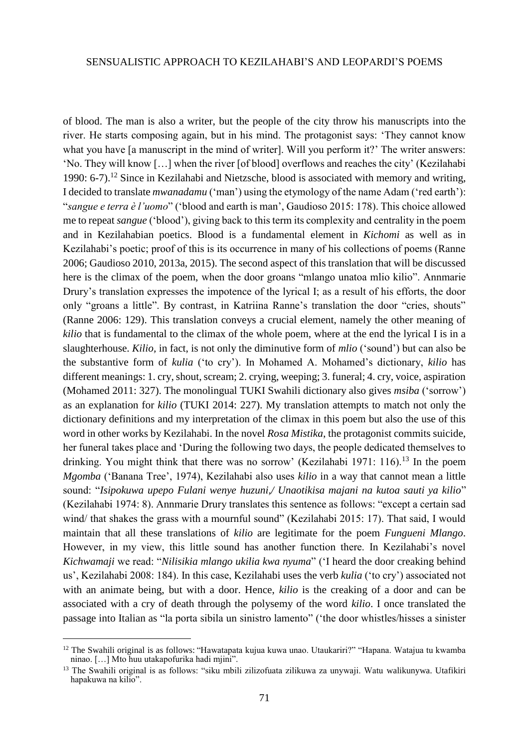of blood. The man is also a writer, but the people of the city throw his manuscripts into the river. He starts composing again, but in his mind. The protagonist says: 'They cannot know what you have [a manuscript in the mind of writer]. Will you perform it?' The writer answers: 'No. They will know […] when the river [of blood] overflows and reaches the city' (Kezilahabi 1990: 6-7).<sup>12</sup> Since in Kezilahabi and Nietzsche, blood is associated with memory and writing, I decided to translate *mwanadamu* ('man') using the etymology of the name Adam ('red earth'): "*sangue e terra è l'uomo*" ('blood and earth is man', Gaudioso 2015: 178). This choice allowed me to repeat *sangue* ('blood'), giving back to this term its complexity and centrality in the poem and in Kezilahabian poetics. Blood is a fundamental element in *Kichomi* as well as in Kezilahabi's poetic; proof of this is its occurrence in many of his collections of poems (Ranne 2006; Gaudioso 2010, 2013a, 2015). The second aspect of this translation that will be discussed here is the climax of the poem, when the door groans "mlango unatoa mlio kilio". Annmarie Drury's translation expresses the impotence of the lyrical I; as a result of his efforts, the door only "groans a little". By contrast, in Katriina Ranne's translation the door "cries, shouts" (Ranne 2006: 129). This translation conveys a crucial element, namely the other meaning of *kilio* that is fundamental to the climax of the whole poem, where at the end the lyrical I is in a slaughterhouse. *Kilio,* in fact, is not only the diminutive form of *mlio* ('sound') but can also be the substantive form of *kulia* ('to cry'). In Mohamed A. Mohamed's dictionary, *kilio* has different meanings: 1. cry, shout, scream; 2. crying, weeping; 3. funeral; 4. cry, voice, aspiration (Mohamed 2011: 327). The monolingual TUKI Swahili dictionary also gives *msiba* ('sorrow') as an explanation for *kilio* (TUKI 2014: 227). My translation attempts to match not only the dictionary definitions and my interpretation of the climax in this poem but also the use of this word in other works by Kezilahabi. In the novel *Rosa Mistika*, the protagonist commits suicide, her funeral takes place and 'During the following two days, the people dedicated themselves to drinking. You might think that there was no sorrow' (Kezilahabi 1971: 116).<sup>13</sup> In the poem *Mgomba* ('Banana Tree', 1974), Kezilahabi also uses *kilio* in a way that cannot mean a little sound: "*Isipokuwa upepo Fulani wenye huzuni,/ Unaotikisa majani na kutoa sauti ya kilio*" (Kezilahabi 1974: 8). Annmarie Drury translates this sentence as follows: "except a certain sad wind/ that shakes the grass with a mournful sound" (Kezilahabi 2015: 17). That said, I would maintain that all these translations of *kilio* are legitimate for the poem *Fungueni Mlango*. However, in my view, this little sound has another function there. In Kezilahabi's novel *Kichwamaji* we read: "*Nilisikia mlango ukilia kwa nyuma*" ('I heard the door creaking behind us', Kezilahabi 2008: 184). In this case, Kezilahabi uses the verb *kulia* ('to cry') associated not with an animate being, but with a door. Hence, *kilio* is the creaking of a door and can be associated with a cry of death through the polysemy of the word *kilio*. I once translated the passage into Italian as "la porta sibila un sinistro lamento" ('the door whistles/hisses a sinister

<sup>12</sup> The Swahili original is as follows: "Hawatapata kujua kuwa unao. Utaukariri?" "Hapana. Watajua tu kwamba ninao. […] Mto huu utakapofurika hadi mjini".

<sup>13</sup> The Swahili original is as follows: "siku mbili zilizofuata zilikuwa za unywaji. Watu walikunywa. Utafikiri hapakuwa na kilio".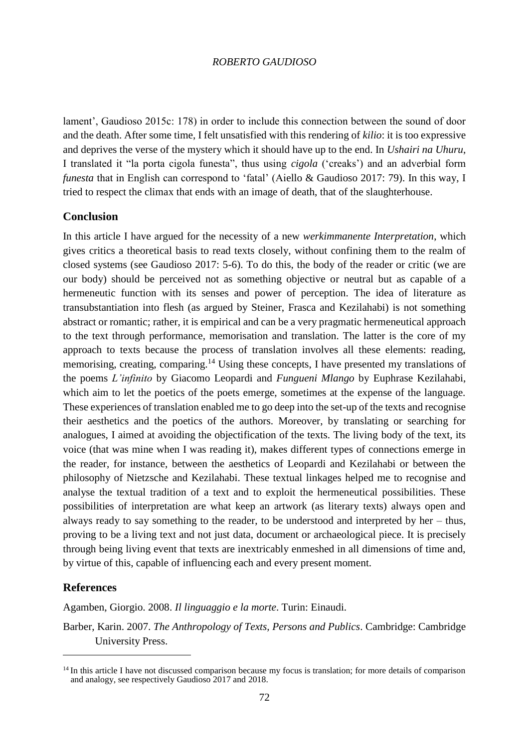lament', Gaudioso 2015c: 178) in order to include this connection between the sound of door and the death. After some time, I felt unsatisfied with this rendering of *kilio*: it is too expressive and deprives the verse of the mystery which it should have up to the end. In *Ushairi na Uhuru*, I translated it "la porta cigola funesta", thus using *cigola* ('creaks') and an adverbial form *funesta* that in English can correspond to 'fatal' (Aiello & Gaudioso 2017: 79). In this way, I tried to respect the climax that ends with an image of death, that of the slaughterhouse.

## **Conclusion**

In this article I have argued for the necessity of a new *werkimmanente Interpretation*, which gives critics a theoretical basis to read texts closely, without confining them to the realm of closed systems (see Gaudioso 2017: 5-6). To do this, the body of the reader or critic (we are our body) should be perceived not as something objective or neutral but as capable of a hermeneutic function with its senses and power of perception. The idea of literature as transubstantiation into flesh (as argued by Steiner, Frasca and Kezilahabi) is not something abstract or romantic; rather, it is empirical and can be a very pragmatic hermeneutical approach to the text through performance, memorisation and translation. The latter is the core of my approach to texts because the process of translation involves all these elements: reading, memorising, creating, comparing.<sup>14</sup> Using these concepts, I have presented my translations of the poems *L'infinito* by Giacomo Leopardi and *Fungueni Mlango* by Euphrase Kezilahabi, which aim to let the poetics of the poets emerge, sometimes at the expense of the language. These experiences of translation enabled me to go deep into the set-up of the texts and recognise their aesthetics and the poetics of the authors. Moreover, by translating or searching for analogues, I aimed at avoiding the objectification of the texts. The living body of the text, its voice (that was mine when I was reading it), makes different types of connections emerge in the reader, for instance, between the aesthetics of Leopardi and Kezilahabi or between the philosophy of Nietzsche and Kezilahabi. These textual linkages helped me to recognise and analyse the textual tradition of a text and to exploit the hermeneutical possibilities. These possibilities of interpretation are what keep an artwork (as literary texts) always open and always ready to say something to the reader, to be understood and interpreted by her – thus, proving to be a living text and not just data, document or archaeological piece. It is precisely through being living event that texts are inextricably enmeshed in all dimensions of time and, by virtue of this, capable of influencing each and every present moment.

# **References**

 $\overline{\phantom{a}}$ 

Agamben, Giorgio. 2008. *Il linguaggio e la morte*. Turin: Einaudi.

Barber, Karin. 2007. *The Anthropology of Texts, Persons and Publics*. Cambridge: Cambridge University Press.

<sup>&</sup>lt;sup>14</sup> In this article I have not discussed comparison because my focus is translation; for more details of comparison and analogy, see respectively Gaudioso 2017 and 2018.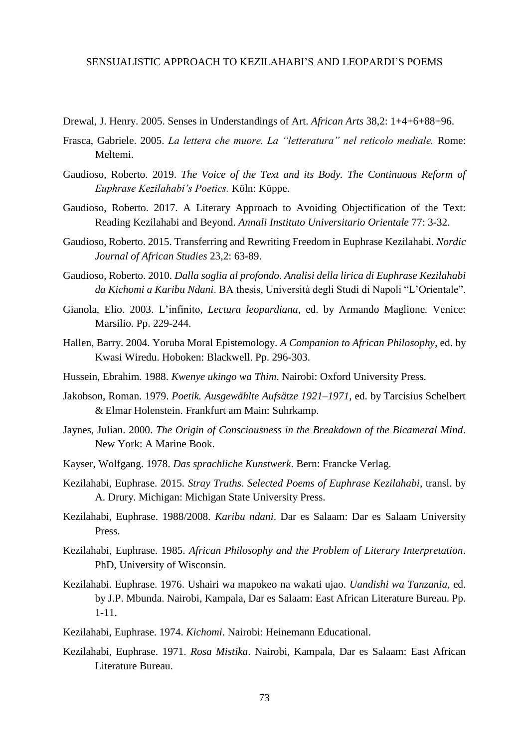- Drewal, J. Henry. 2005. Senses in Understandings of Art. *African Arts* 38,2: 1+4+6+88+96.
- Frasca, Gabriele. 2005. *La lettera che muore. La "letteratura" nel reticolo mediale.* Rome: Meltemi.
- Gaudioso, Roberto. 2019. *The Voice of the Text and its Body. The Continuous Reform of Euphrase Kezilahabi's Poetics.* Köln: Köppe.
- Gaudioso, Roberto. 2017. A Literary Approach to Avoiding Objectification of the Text: Reading Kezilahabi and Beyond. *Annali Instituto Universitario Orientale* 77: 3-32.
- Gaudioso, Roberto. 2015. Transferring and Rewriting Freedom in Euphrase Kezilahabi. *Nordic Journal of African Studies* 23,2: 63-89.
- Gaudioso, Roberto. 2010. *Dalla soglia al profondo. Analisi della lirica di Euphrase Kezilahabi da Kichomi a Karibu Ndani*. BA thesis, Università degli Studi di Napoli "L'Orientale".
- Gianola, Elio. 2003. L'infinito*, Lectura leopardiana*, ed. by Armando Maglione*.* Venice: Marsilio. Pp. 229-244.
- Hallen, Barry. 2004. Yoruba Moral Epistemology. *A Companion to African Philosophy*, ed. by Kwasi Wiredu. Hoboken: Blackwell. Pp. 296-303.
- Hussein, Ebrahim. 1988. *Kwenye ukingo wa Thim*. Nairobi: Oxford University Press.
- Jakobson, Roman. 1979. *Poetik. Ausgewählte Aufsätze 1921–1971*, ed. by Tarcisius Schelbert & Elmar Holenstein. Frankfurt am Main: Suhrkamp.
- Jaynes, Julian. 2000. *The Origin of Consciousness in the Breakdown of the Bicameral Mind*. New York: A Marine Book.
- Kayser, Wolfgang. 1978. *Das sprachliche Kunstwerk*. Bern: Francke Verlag.
- Kezilahabi, Euphrase. 2015. *Stray Truths*. *Selected Poems of Euphrase Kezilahabi*, transl. by A. Drury. Michigan: Michigan State University Press.
- Kezilahabi, Euphrase. 1988/2008. *Karibu ndani*. Dar es Salaam: Dar es Salaam University Press.
- Kezilahabi, Euphrase. 1985. *African Philosophy and the Problem of Literary Interpretation*. PhD, University of Wisconsin.
- Kezilahabi. Euphrase. 1976. Ushairi wa mapokeo na wakati ujao. *Uandishi wa Tanzania*, ed. by J.P. Mbunda. Nairobi, Kampala, Dar es Salaam: East African Literature Bureau. Pp. 1-11.
- Kezilahabi, Euphrase. 1974. *Kichomi*. Nairobi: Heinemann Educational.
- Kezilahabi, Euphrase. 1971. *Rosa Mistika*. Nairobi, Kampala, Dar es Salaam: East African Literature Bureau.